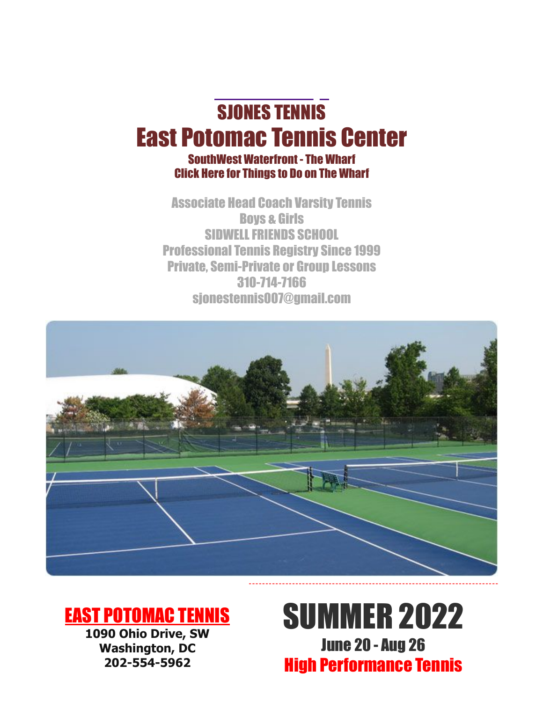# [SJONES](mailto:sjonestennis007@gmail.com) TENNIS East Potomac Tennis Center

## SouthWest Waterfront - The Wharf [Click](https://www.wharfdc.com/things-to-do/) Here for Things to Do on The Wharf

Associate Head Coach Varsity Tennis Boys & Girls SIDWELLFRIENDS SCHOOL Professional Tennis Registry Since 1999 Private, Semi-Private or Group Lessons 310-714-7166 [sjonestennis007@gmail.com](mailto:sjonestennis007@gmail.com)



# EAST [POTOMAC](https://eastpotomactennis.com/) TENNIS

**1090 Ohio Drive, SW Washington, DC 202-554-5962**

# SUMMER 2022 June 20 - Aug 26 High Performance Tennis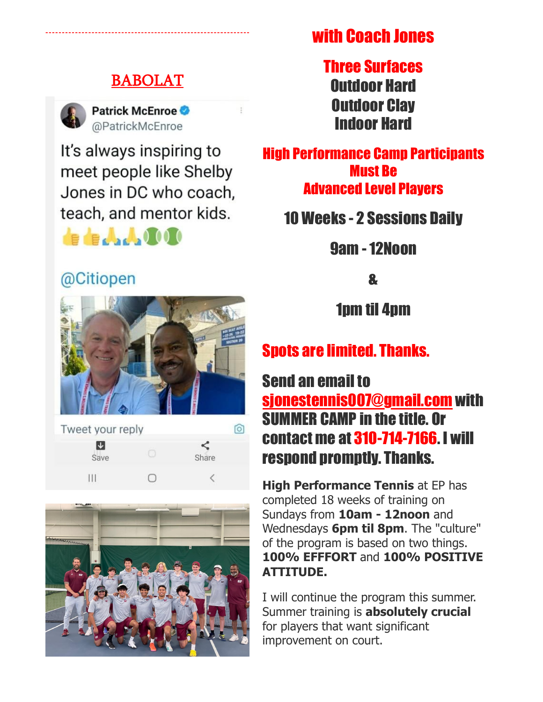## [BABOLAT](https://www.babolat.us/)



**Patrick McEnroe** @PatrickMcEnroe

It's always inspiring to meet people like Shelby Jones in DC who coach, teach, and mentor kids.

# de de Jacks 1000

# @Citiopen



Tweet your reply  $\circ$ 网 ≺ Share Save  $III$  $\overline{\left\langle \right\rangle }$  $\bigcap$ 



with Coach Jones

Three Surfaces Outdoor Hard Outdoor Clay Indoor Hard

High Performance Camp Participants Must Be Advanced Level Players

10 Weeks - 2 Sessions Daily

9am - 12Noon

&

1pm til 4pm

# Spots are limited. Thanks.

Send an email to [sjonestennis007@gmail.com](mailto:sjonestennis007@gmail.com) with SUMMER CAMP in the title. Or contact me at 310-714-7166. I will respond promptly. Thanks.

**High Performance Tennis** at EP has completed 18 weeks of training on Sundays from **10am - 12noon** and Wednesdays **6pm til 8pm**. The "culture" of the program is based on two things. **100% EFFFORT** and **100% POSITIVE ATTITUDE.**

I will continue the program this summer. Summer training is **absolutely crucial** for players that want significant improvement on court.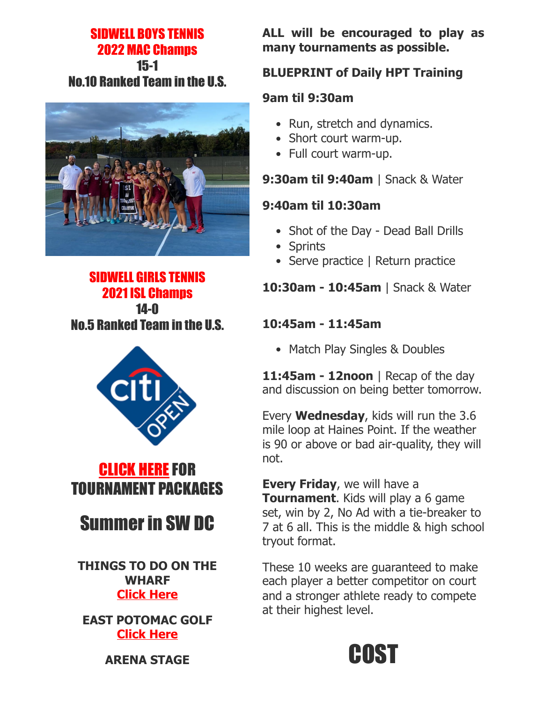### SIDWELL BOYS TENNIS 2022 MAC Champs 15-1 No.10 Ranked Team in the U.S.



## SIDWELL GIRLS TENNIS 2021 ISL Champs 14-0 No.5 Ranked Team in the U.S.





# Summer in SW DC

**THINGS TO DO ON THE WHARF [Click Here](https://www.wharfdc.com/things-to-do/)**

**EAST POTOMAC GOLF [Click Here](https://www.playdcgolf.com/east-potomac-golf-links/)**

**ALL will be encouraged to play as many tournaments as possible.**

## **BLUEPRINT of Daily HPT Training**

#### **9am til 9:30am**

- Run, stretch and dynamics.
- Short court warm-up.
- Full court warm-up.

## **9:30am til 9:40am** | Snack & Water

#### **9:40am til 10:30am**

- Shot of the Day Dead Ball Drills
- Sprints
- Serve practice | Return practice

## **10:30am - 10:45am** | Snack & Water

### **10:45am - 11:45am**

• Match Play Singles & Doubles

**11:45am - 12noon** | Recap of the day and discussion on being better tomorrow.

Every **Wednesday**, kids will run the 3.6 mile loop at Haines Point. If the weather is 90 or above or bad air-quality, they will not.

**Every Friday**, we will have a **Tournament**. Kids will play a 6 game set, win by 2, No Ad with a tie-breaker to 7 at 6 all. This is the middle & high school tryout format.

These 10 weeks are guaranteed to make each player a better competitor on court and a stronger athlete ready to compete at their highest level.



**ARENA STAGE**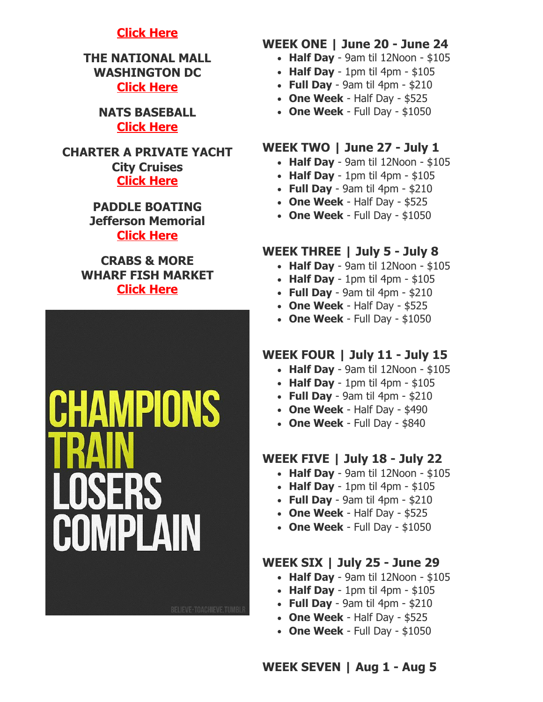#### **[Click Here](https://www.arenastage.org/)**

**THE NATIONAL MALL WASHINGTON DC [Click Here](https://washington.org/dc-neighborhoods/national-mall#)**

> **NATS BASEBALL [Click Here](https://www.mlb.com/nationals)**

**CHARTER A PRIVATE YACHT City Cruises [Click Here](https://www.wharfdc.com/waterfront/city-cruises/)**

> **PADDLE BOATING Jefferson Memorial [Click Here](https://boatingindc.com/boathouses/tidal-basin/)**

**CRABS & MORE WHARF FISH MARKET [Click Here](https://www.wharfdc.com/fish-market/)**



#### **WEEK ONE | June 20 - June 24**

- **Half Day** 9am til 12Noon \$105
- **Half Day** 1pm til 4pm \$105
- **Full Day** 9am til 4pm \$210
- **One Week** Half Day \$525
- **One Week** Full Day \$1050

#### **WEEK TWO | June 27 - July 1**

- **Half Day** 9am til 12Noon \$105
- **Half Day** 1pm til 4pm \$105
- **Full Day** 9am til 4pm \$210
- **One Week** Half Day \$525
- **One Week** Full Day \$1050

#### **WEEK THREE | July 5 - July 8**

- **Half Day** 9am til 12Noon \$105
- **Half Day** 1pm til 4pm \$105
- **Full Day** 9am til 4pm \$210
- **One Week** Half Day \$525
- **One Week** Full Day \$1050

#### **WEEK FOUR | July 11 - July 15**

- **Half Day** 9am til 12Noon \$105
- **Half Day** 1pm til 4pm \$105
- **Full Day** 9am til 4pm \$210
- **One Week** Half Day \$490
- **One Week** Full Day \$840

#### **WEEK FIVE | July 18 - July 22**

- **Half Day** 9am til 12Noon \$105
- **Half Day** 1pm til 4pm \$105
- **Full Day** 9am til 4pm \$210
- **One Week** Half Day \$525
- **One Week** Full Day \$1050

#### **WEEK SIX | July 25 - June 29**

- **Half Day** 9am til 12Noon \$105
- **Half Day** 1pm til 4pm \$105
- **Full Day** 9am til 4pm \$210
- **One Week** Half Day \$525
- **One Week** Full Day \$1050